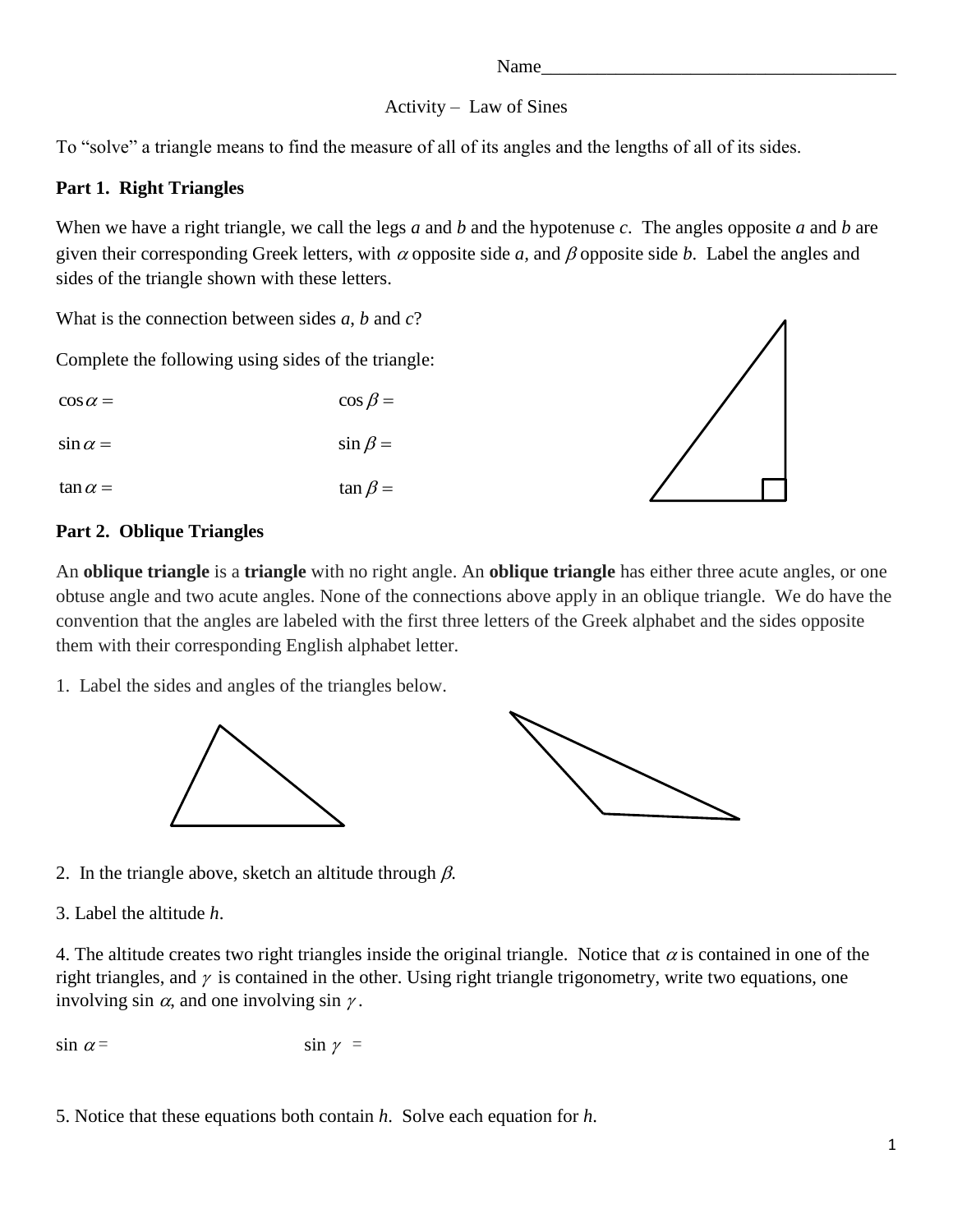#### Name

### Activity – Law of Sines

To "solve" a triangle means to find the measure of all of its angles and the lengths of all of its sides.

## **Part 1. Right Triangles**

When we have a right triangle, we call the legs *a* and *b* and the hypotenuse *c*. The angles opposite *a* and *b* are given their corresponding Greek letters, with  $\alpha$  opposite side a, and  $\beta$  opposite side b. Label the angles and sides of the triangle shown with these letters.

What is the connection between sides *a*, *b* and *c*?

Complete the following using sides of the triangle:

 $\cos \alpha = \cos \beta =$ 

 $\sin \alpha =$   $\sin \beta =$ 

 $\tan \alpha = \tan \beta =$ 



# **Part 2. Oblique Triangles**

An **oblique triangle** is a **triangle** with no right angle. An **oblique triangle** has either three acute angles, or one obtuse angle and two acute angles. None of the connections above apply in an oblique triangle. We do have the convention that the angles are labeled with the first three letters of the Greek alphabet and the sides opposite them with their corresponding English alphabet letter.

1. Label the sides and angles of the triangles below.





2. In the triangle above, sketch an altitude through  $\beta$ .

3. Label the altitude *h*.

4. The altitude creates two right triangles inside the original triangle. Notice that  $\alpha$  is contained in one of the right triangles, and  $\gamma$  is contained in the other. Using right triangle trigonometry, write two equations, one involving sin  $\alpha$ , and one involving sin  $\gamma$ .

$$
\sin \alpha = \sin \gamma =
$$

5. Notice that these equations both contain *h*. Solve each equation for *h*.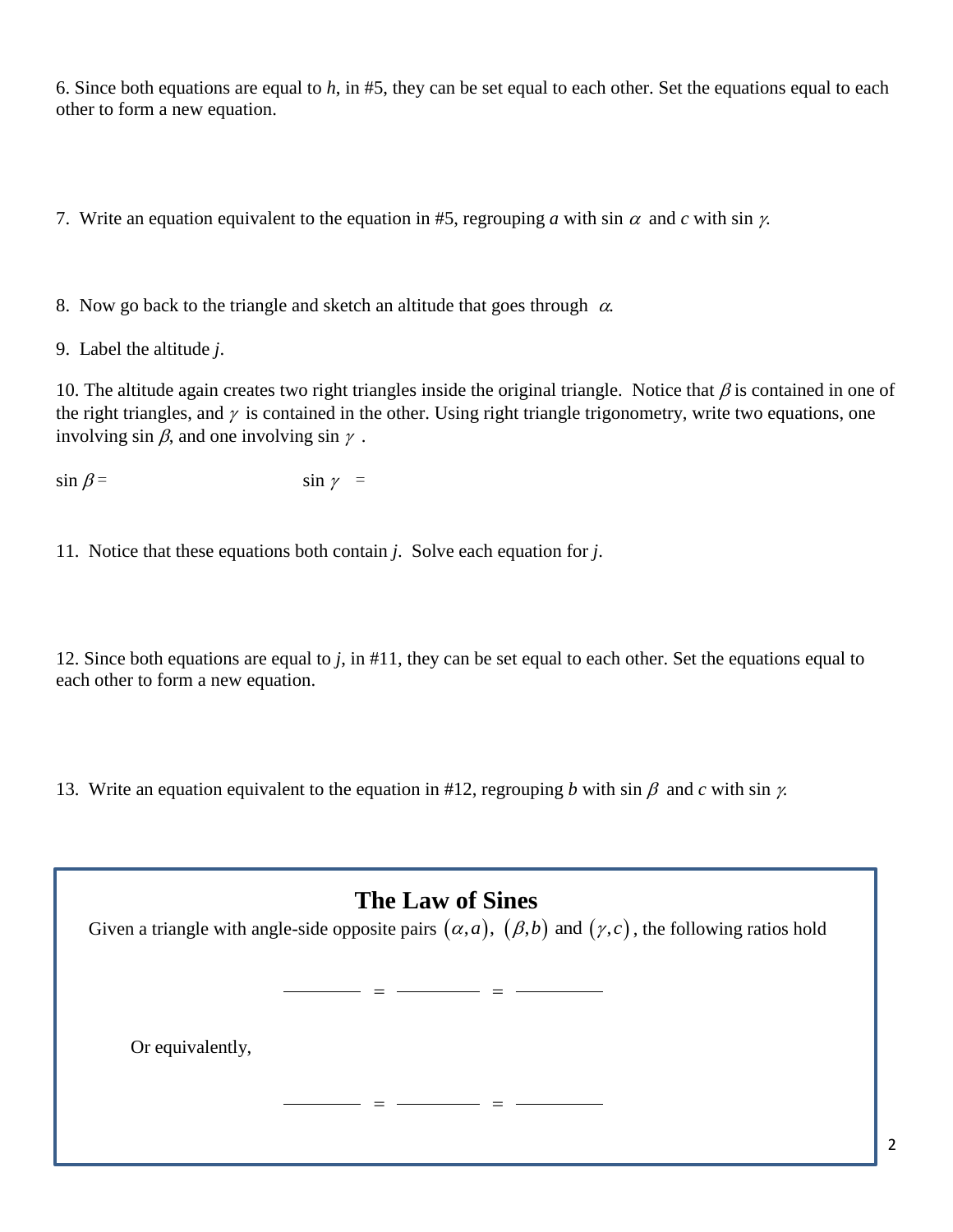6. Since both equations are equal to *h*, in #5, they can be set equal to each other. Set the equations equal to each other to form a new equation.

7. Write an equation equivalent to the equation in #5, regrouping *a* with sin  $\alpha$  and *c* with sin  $\gamma$ .

8. Now go back to the triangle and sketch an altitude that goes through  $\alpha$ .

9. Label the altitude *j*.

10. The altitude again creates two right triangles inside the original triangle. Notice that  $\beta$  is contained in one of the right triangles, and  $\gamma$  is contained in the other. Using right triangle trigonometry, write two equations, one involving sin  $\beta$ , and one involving sin  $\gamma$ .

 $\sin \beta =$   $\sin \gamma =$ 

11. Notice that these equations both contain *j*. Solve each equation for *j*.

12. Since both equations are equal to *j*, in #11, they can be set equal to each other. Set the equations equal to each other to form a new equation.

13. Write an equation equivalent to the equation in #12, regrouping *b* with sin  $\beta$  and *c* with sin  $\gamma$ .

| <b>The Law of Sines</b><br>Given a triangle with angle-side opposite pairs $(\alpha, a)$ , $(\beta, b)$ and $(\gamma, c)$ , the following ratios hold |
|-------------------------------------------------------------------------------------------------------------------------------------------------------|
| Or equivalently,                                                                                                                                      |
|                                                                                                                                                       |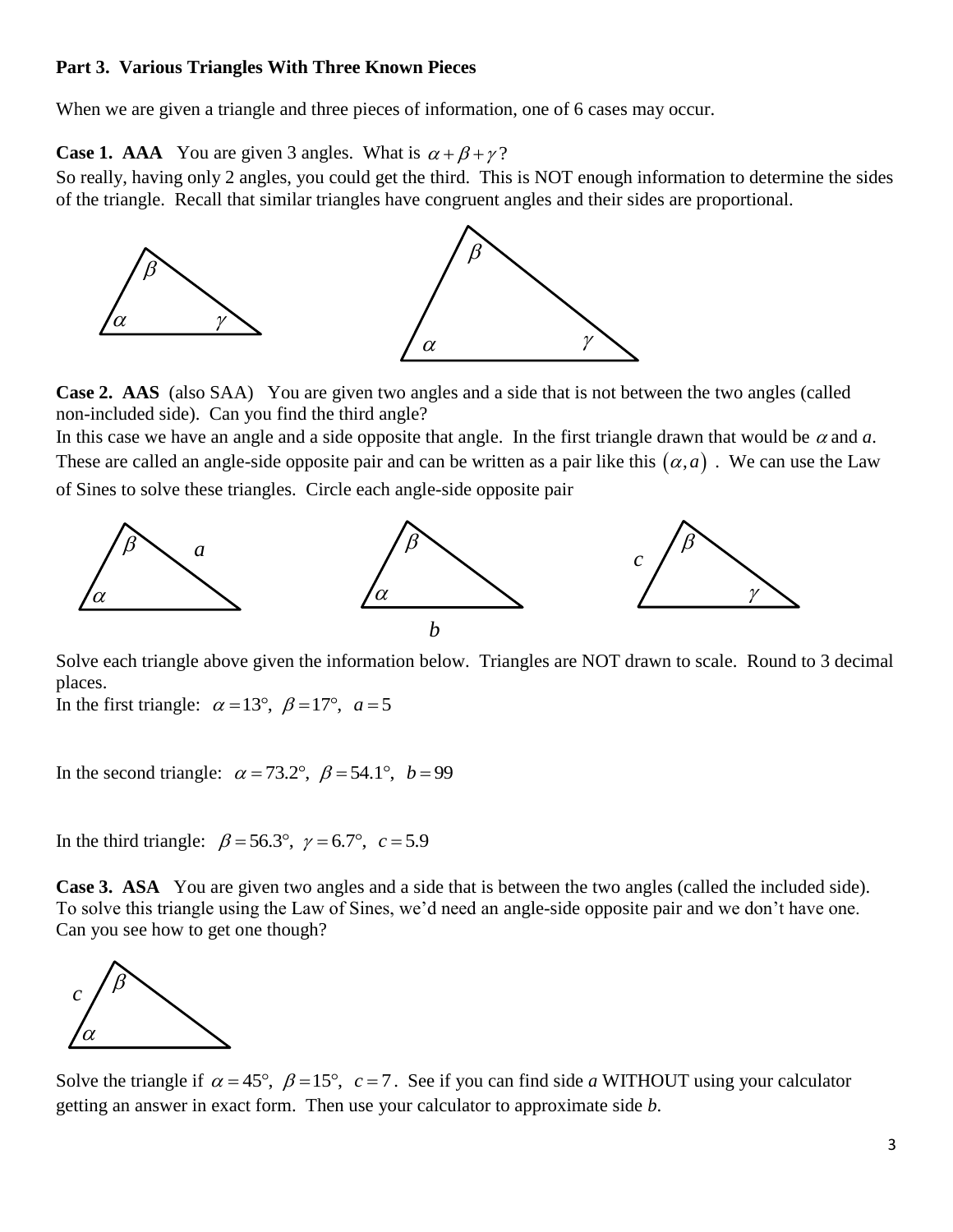#### **Part 3. Various Triangles With Three Known Pieces**

When we are given a triangle and three pieces of information, one of 6 cases may occur.

**Case 1. AAA** You are given 3 angles. What is  $\alpha + \beta + \gamma$ ?

So really, having only 2 angles, you could get the third. This is NOT enough information to determine the sides of the triangle. Recall that similar triangles have congruent angles and their sides are proportional.



**Case 2. AAS** (also SAA) You are given two angles and a side that is not between the two angles (called non-included side). Can you find the third angle?

In this case we have an angle and a side opposite that angle. In the first triangle drawn that would be  $\alpha$  and  $\alpha$ . These are called an angle-side opposite pair and can be written as a pair like this  $(a, a)$ . We can use the Law of Sines to solve these triangles. Circle each angle-side opposite pair



Solve each triangle above given the information below. Triangles are NOT drawn to scale. Round to 3 decimal places.

In the first triangle:  $\alpha = 13^{\circ}, \ \beta = 17^{\circ}, \ \alpha = 5$ 

In the second triangle:  $\alpha = 73.2^{\circ}$ ,  $\beta = 54.1^{\circ}$ ,  $b = 99$ 

In the third triangle:  $\beta = 56.3^{\circ}$ ,  $\gamma = 6.7^{\circ}$ ,  $c = 5.9$ 

**Case 3. ASA** You are given two angles and a side that is between the two angles (called the included side). To solve this triangle using the Law of Sines, we'd need an angle-side opposite pair and we don't have one. Can you see how to get one though?



Solve the triangle if  $\alpha = 45^{\circ}$ ,  $\beta = 15^{\circ}$ ,  $c = 7$ . See if you can find side *a* WITHOUT using your calculator getting an answer in exact form. Then use your calculator to approximate side *b*.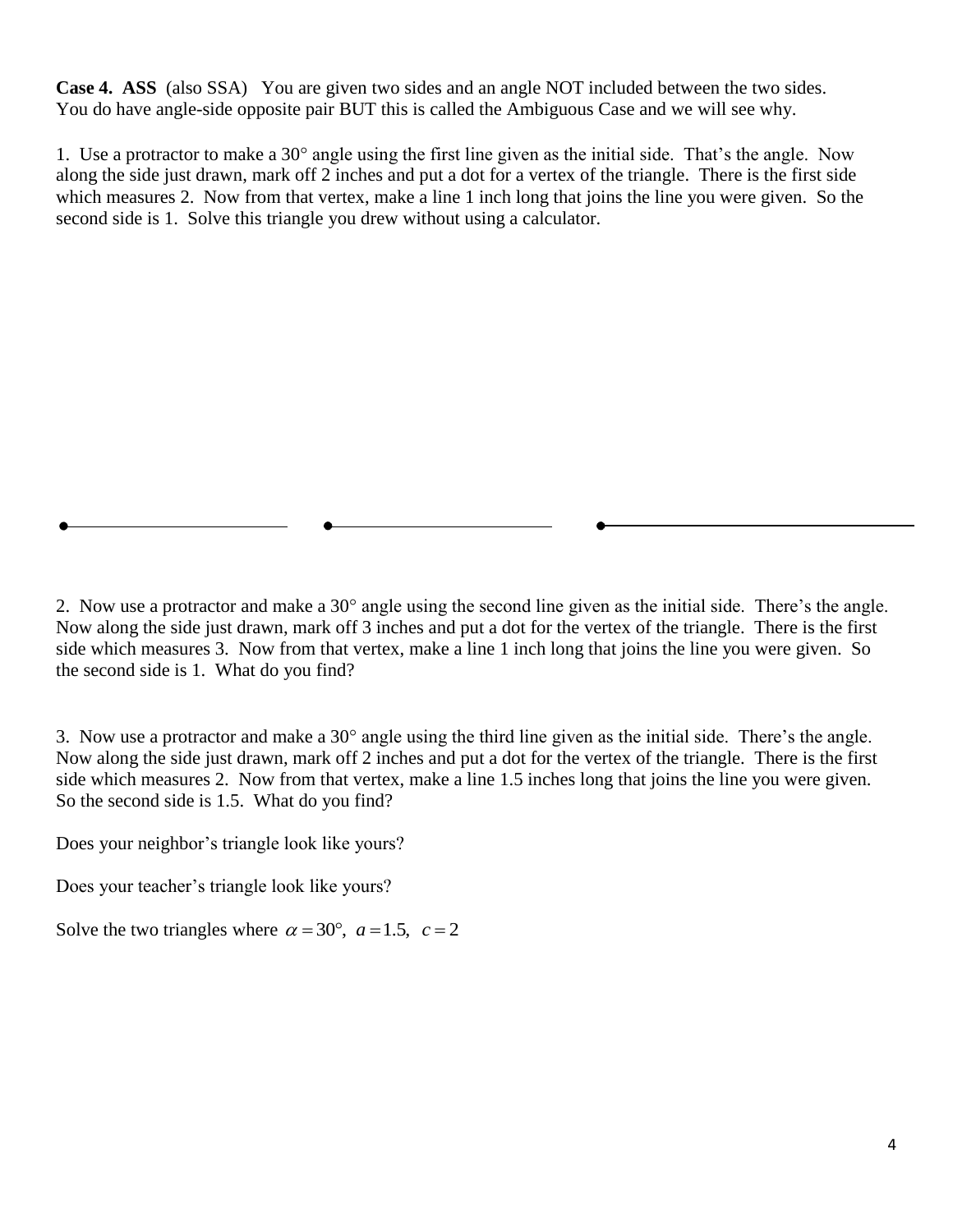**Case 4. ASS** (also SSA) You are given two sides and an angle NOT included between the two sides. You do have angle-side opposite pair BUT this is called the Ambiguous Case and we will see why.

1. Use a protractor to make a  $30^{\circ}$  angle using the first line given as the initial side. That's the angle. Now along the side just drawn, mark off 2 inches and put a dot for a vertex of the triangle. There is the first side which measures 2. Now from that vertex, make a line 1 inch long that joins the line you were given. So the second side is 1. Solve this triangle you drew without using a calculator.

2. Now use a protractor and make a  $30^{\circ}$  angle using the second line given as the initial side. There's the angle. Now along the side just drawn, mark off 3 inches and put a dot for the vertex of the triangle. There is the first side which measures 3. Now from that vertex, make a line 1 inch long that joins the line you were given. So the second side is 1. What do you find?

3. Now use a protractor and make a  $30^{\circ}$  angle using the third line given as the initial side. There's the angle. Now along the side just drawn, mark off 2 inches and put a dot for the vertex of the triangle. There is the first side which measures 2. Now from that vertex, make a line 1.5 inches long that joins the line you were given. So the second side is 1.5. What do you find?

Does your neighbor's triangle look like yours?

Does your teacher's triangle look like yours?

Solve the two triangles where  $\alpha = 30^{\circ}$ ,  $a = 1.5$ ,  $c = 2$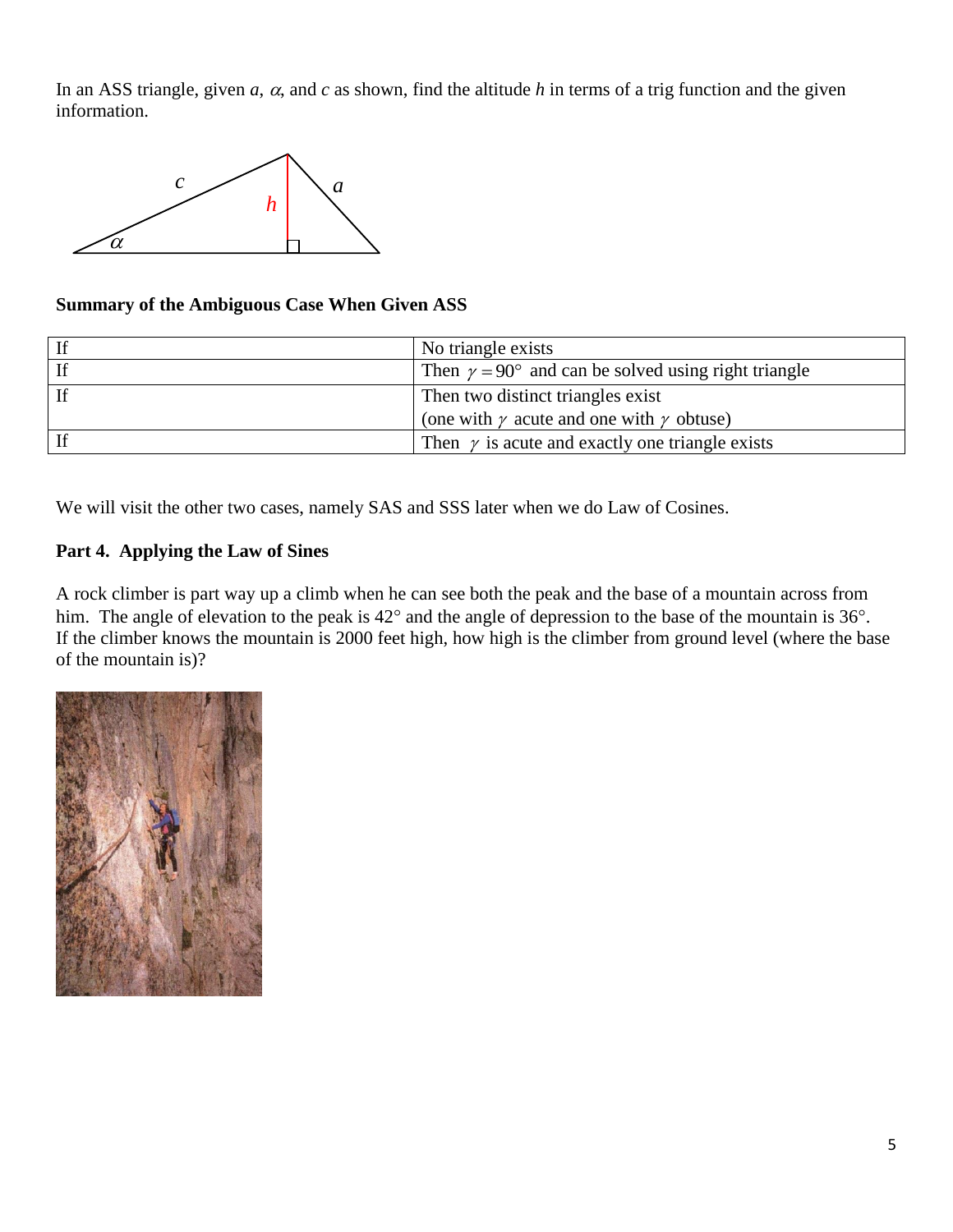In an ASS triangle, given  $a$ ,  $\alpha$ , and  $c$  as shown, find the altitude  $h$  in terms of a trig function and the given information.



## **Summary of the Ambiguous Case When Given ASS**

| If | No triangle exists                                                |
|----|-------------------------------------------------------------------|
| If | Then $\gamma = 90^{\circ}$ and can be solved using right triangle |
| If | Then two distinct triangles exist                                 |
|    | (one with $\gamma$ acute and one with $\gamma$ obtuse)            |
| If | Then $\gamma$ is acute and exactly one triangle exists            |

We will visit the other two cases, namely SAS and SSS later when we do Law of Cosines.

# **Part 4. Applying the Law of Sines**

A rock climber is part way up a climb when he can see both the peak and the base of a mountain across from him. The angle of elevation to the peak is  $42^{\circ}$  and the angle of depression to the base of the mountain is  $36^{\circ}$ . If the climber knows the mountain is 2000 feet high, how high is the climber from ground level (where the base of the mountain is)?